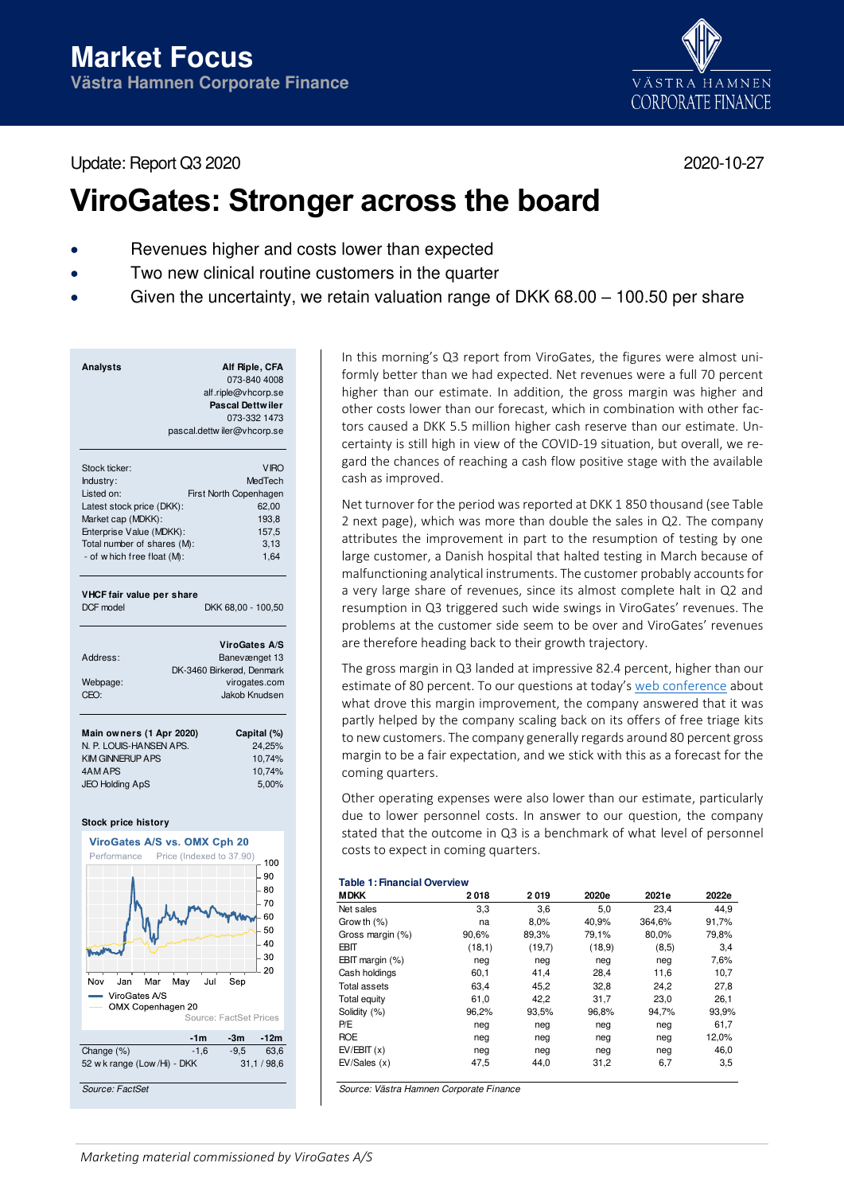Update: Report Q3 2020 2020-10-27

# **ViroGates: Stronger across the board**

- Revenues higher and costs lower than expected
- Two new clinical routine customers in the quarter
- Given the uncertainty, we retain valuation range of DKK 68.00 100.50 per share

| Stock ticker:               | <b>VIRO</b>                    |
|-----------------------------|--------------------------------|
| Industry:                   | MedTech                        |
| Listed on:                  | First North Copenhagen         |
| Latest stock price (DKK):   | 62,00                          |
| Market cap (MDKK):          | 193,8                          |
| Enterprise Value (MDKK):    | 157,5                          |
| Total number of shares (M): | 3,13                           |
| - of w hich free float (M): | 1,64                           |
|                             |                                |
|                             |                                |
| VHCF fair value per share   |                                |
| DCF model                   | DKK 68,00 - 100,50             |
|                             |                                |
|                             |                                |
|                             |                                |
| Address:                    | <b>ViroGates A/S</b>           |
|                             | Banevænget 13                  |
|                             | DK-3460 Birkerød, Denmark      |
| Webpage:<br>CEO:            | virogates.com<br>Jakob Knudsen |
|                             |                                |
|                             |                                |
| Main owners (1 Apr 2020)    | Capital (%)                    |
| N. P. LOUIS-HANSEN APS.     | 24,25%                         |
| <b>KIM GINNERUP APS</b>     | 10,74%                         |
| 4AM APS                     | 10,74%                         |
| <b>JEO Holding ApS</b>      | 5,00%                          |

### **Stock price history**



In this morning's Q3 report from ViroGates, the figures were almost uniformly better than we had expected. Net revenues were a full 70 percent higher than our estimate. In addition, the gross margin was higher and other costs lower than our forecast, which in combination with other factors caused a DKK 5.5 million higher cash reserve than our estimate. Uncertainty is still high in view of the COVID-19 situation, but overall, we regard the chances of reaching a cash flow positive stage with the available cash as improved.

Net turnover for the period was reported at DKK 1 850 thousand (see Table 2 next page), which was more than double the sales in Q2. The company attributes the improvement in part to the resumption of testing by one large customer, a Danish hospital that halted testing in March because of malfunctioning analytical instruments. The customer probably accounts for a very large share of revenues, since its almost complete halt in Q2 and resumption in Q3 triggered such wide swings in ViroGates' revenues. The problems at the customer side seem to be over and ViroGates' revenues are therefore heading back to their growth trajectory.

The gross margin in Q3 landed at impressive 82.4 percent, higher than our estimate of 80 percent. To our questions at today's [web conference](https://youtu.be/sLXDOzO3iYI) about what drove this margin improvement, the company answered that it was partly helped by the company scaling back on its offers of free triage kits to new customers. The company generally regards around 80 percent gross margin to be a fair expectation, and we stick with this as a forecast for the coming quarters.

Other operating expenses were also lower than our estimate, particularly due to lower personnel costs. In answer to our question, the company stated that the outcome in Q3 is a benchmark of what level of personnel costs to expect in coming quarters.

### **Table 1: Financial Overview**

| <b>MDKK</b>          | 2018   | 2019   | 2020e  | 2021e  | 2022e |
|----------------------|--------|--------|--------|--------|-------|
| Net sales            | 3,3    | 3,6    | 5,0    | 23,4   | 44.9  |
| Grow th $(\%)$       | na     | 8.0%   | 40,9%  | 364,6% | 91,7% |
| Gross margin (%)     | 90,6%  | 89,3%  | 79,1%  | 80,0%  | 79,8% |
| <b>EBIT</b>          | (18,1) | (19,7) | (18.9) | (8, 5) | 3,4   |
| $EBIT$ margin $(\%)$ | neg    | neg    | neg    | neg    | 7,6%  |
| Cash holdings        | 60,1   | 41,4   | 28,4   | 11,6   | 10,7  |
| <b>Total assets</b>  | 63,4   | 45.2   | 32,8   | 24.2   | 27,8  |
| <b>Total equity</b>  | 61,0   | 42,2   | 31,7   | 23,0   | 26,1  |
| Solidity (%)         | 96,2%  | 93,5%  | 96,8%  | 94,7%  | 93,9% |
| P/E                  | neg    | neg    | neg    | neg    | 61,7  |
| <b>ROE</b>           | neg    | neg    | neg    | neg    | 12,0% |
| EV/EBIT(x)           | neg    | neg    | neg    | neg    | 46,0  |
| EV/Sales(x)          | 47,5   | 44,0   | 31,2   | 6,7    | 3,5   |

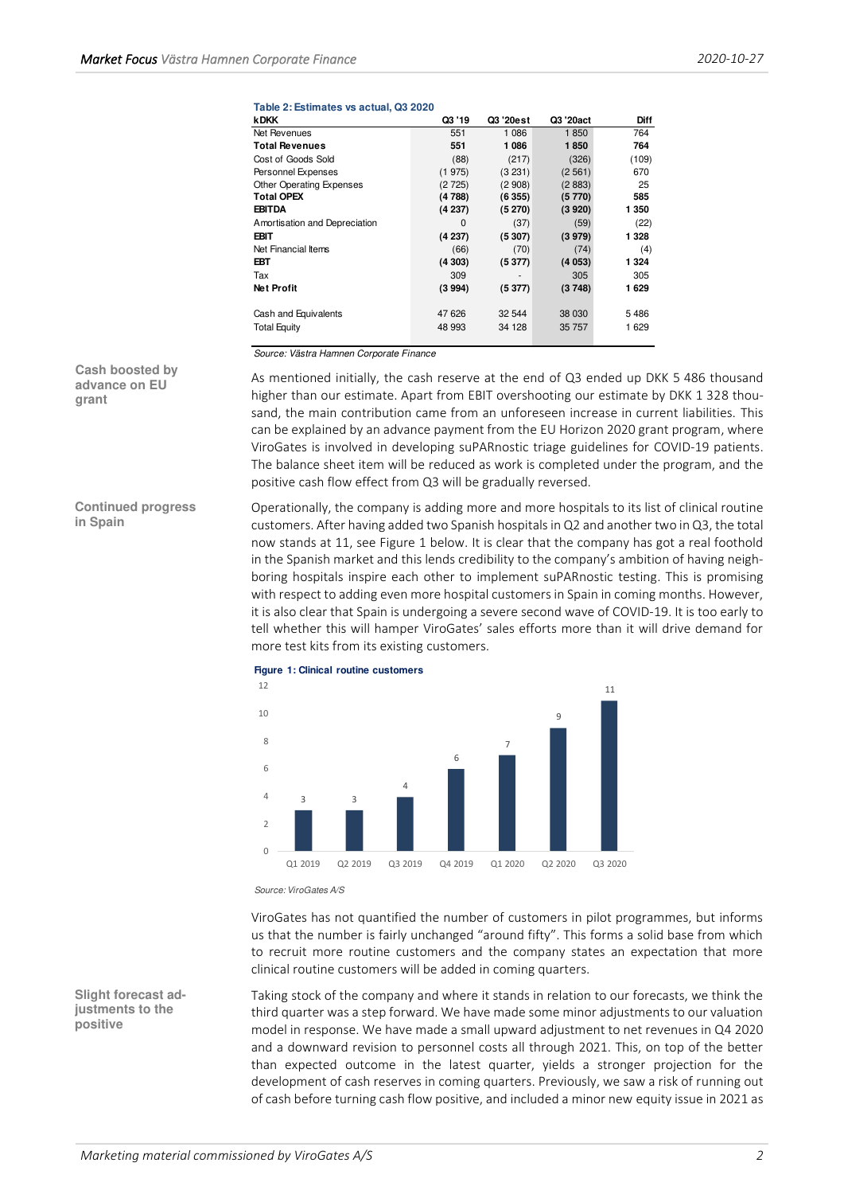## **Table 2: Estimates vs actual, Q3 2020**

| <b>kDKK</b>                     | Q3 '19  | Q3 '20est | Q3 '20act | Diff    |
|---------------------------------|---------|-----------|-----------|---------|
| Net Revenues                    | 551     | 1 0 8 6   | 1850      | 764     |
| <b>Total Revenues</b>           | 551     | 1086      | 1850      | 764     |
| Cost of Goods Sold              | (88)    | (217)     | (326)     | (109)   |
| Personnel Expenses              | (1975)  | (3 231)   | (2561)    | 670     |
| <b>Other Operating Expenses</b> | (2725)  | (2908)    | (2883)    | 25      |
| <b>Total OPEX</b>               | (4788)  | (6355)    | (5770)    | 585     |
| <b>EBITDA</b>                   | (4 237) | (5270)    | (3920)    | 1 350   |
| Amortisation and Depreciation   | 0       | (37)      | (59)      | (22)    |
| EBIT                            | (4237)  | (5307)    | (3979)    | 1 328   |
| Net Financial Items             | (66)    | (70)      | (74)      | (4)     |
| EBT                             | (4303)  | (5377)    | (4053)    | 1 3 2 4 |
| Tax                             | 309     |           | 305       | 305     |
| Net Profit                      | (3994)  | (5377)    | (3748)    | 1629    |
| Cash and Equivalents            | 47 626  | 32 544    | 38 030    | 5486    |
| <b>Total Equity</b>             | 48 993  | 34 128    | 35 757    | 1629    |

Source: Västra Hamnen Corporate Finance

As mentioned initially, the cash reserve at the end of Q3 ended up DKK 5 486 thousand higher than our estimate. Apart from EBIT overshooting our estimate by DKK 1 328 thousand, the main contribution came from an unforeseen increase in current liabilities. This can be explained by an advance payment from the EU Horizon 2020 grant program, where ViroGates is involved in developing suPARnostic triage guidelines for COVID-19 patients. The balance sheet item will be reduced as work is completed under the program, and the positive cash flow effect from Q3 will be gradually reversed.

Operationally, the company is adding more and more hospitals to its list of clinical routine customers. After having added two Spanish hospitals in Q2 and another two in Q3, the total now stands at 11, see Figure 1 below. It is clear that the company has got a real foothold in the Spanish market and this lends credibility to the company's ambition of having neighboring hospitals inspire each other to implement suPARnostic testing. This is promising with respect to adding even more hospital customers in Spain in coming months. However, it is also clear that Spain is undergoing a severe second wave of COVID-19. It is too early to tell whether this will hamper ViroGates' sales efforts more than it will drive demand for more test kits from its existing customers.



**Figure 1: Clinical routine customers**

Source: ViroGates A/S

ViroGates has not quantified the number of customers in pilot programmes, but informs us that the number is fairly unchanged "around fifty". This forms a solid base from which to recruit more routine customers and the company states an expectation that more clinical routine customers will be added in coming quarters.

Taking stock of the company and where it stands in relation to our forecasts, we think the third quarter was a step forward. We have made some minor adjustments to our valuation model in response. We have made a small upward adjustment to net revenues in Q4 2020 and a downward revision to personnel costs all through 2021. This, on top of the better than expected outcome in the latest quarter, yields a stronger projection for the development of cash reserves in coming quarters. Previously, we saw a risk of running out of cash before turning cash flow positive, and included a minor new equity issue in 2021 as

**Cash boosted by advance on EU grant** 

**Continued progress in Spain** 

**Slight forecast adjustments to the positive**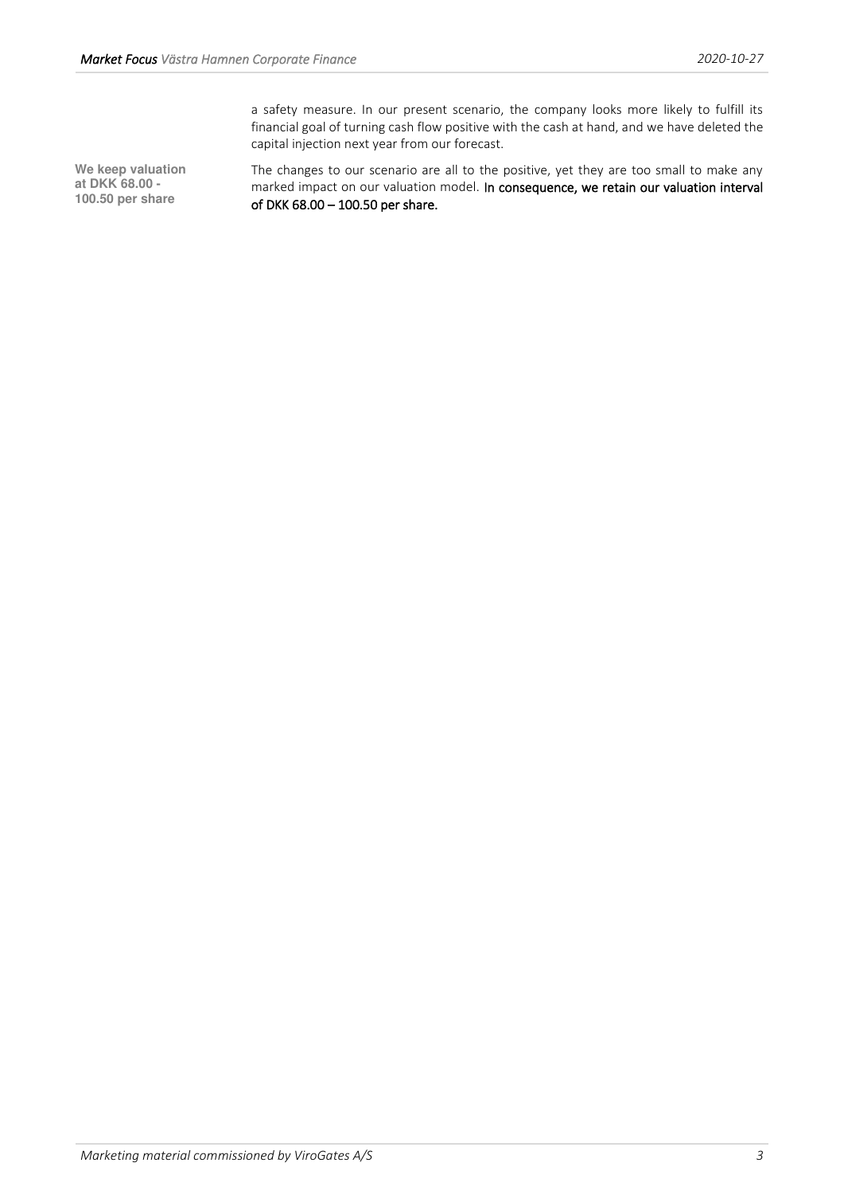a safety measure. In our present scenario, the company looks more likely to fulfill its financial goal of turning cash flow positive with the cash at hand, and we have deleted the capital injection next year from our forecast.

**We keep valuation at DKK 68.00 - 100.50 per share** 

The changes to our scenario are all to the positive, yet they are too small to make any marked impact on our valuation model. In consequence, we retain our valuation interval of DKK 68.00 – 100.50 per share.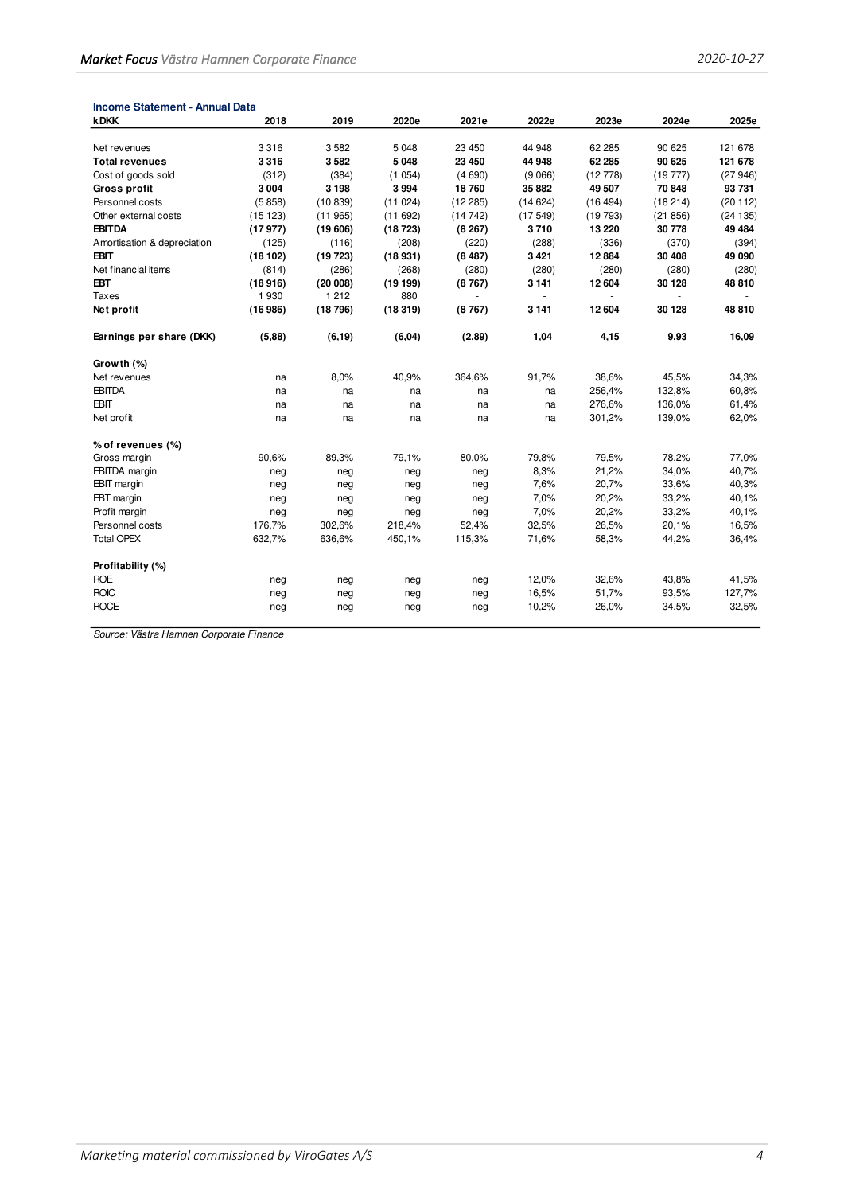| <b>Income Statement - Annual Data</b> |         |         |         |         |         |                |                |         |
|---------------------------------------|---------|---------|---------|---------|---------|----------------|----------------|---------|
| <b>kDKK</b>                           | 2018    | 2019    | 2020e   | 2021e   | 2022e   | 2023e          | 2024e          | 2025e   |
| Net revenues                          | 3316    | 3582    | 5 0 4 8 | 23 450  | 44 948  | 62 285         | 90 625         | 121 678 |
| <b>Total revenues</b>                 | 3316    | 3582    | 5 0 4 8 | 23 450  | 44 948  | 62 285         | 90 625         | 121 678 |
| Cost of goods sold                    | (312)   | (384)   | (1054)  | (4690)  | (9066)  | (12778)        | (19777)        | (27946) |
| <b>Gross profit</b>                   | 3 0 0 4 | 3 1 9 8 | 3994    | 18760   | 35 882  | 49 507         | 70 848         | 93 731  |
| Personnel costs                       | (5858)  | (10839) | (11024) | (12285) | (14624) | (16494)        | (18214)        | (20112) |
| Other external costs                  | (15123) | (11965) | (11692) | (14742) | (17549) | (19793)        | (21856)        | (24135) |
| <b>EBITDA</b>                         | (17977) | (19606) | (18723) | (8267)  | 3710    | 13 220         | 30778          | 49 4 84 |
| Amortisation & depreciation           | (125)   | (116)   | (208)   | (220)   | (288)   | (336)          | (370)          | (394)   |
| <b>EBIT</b>                           | (18102) | (19723) |         | (8487)  | 3 4 21  | 12 8 84        | 30 408         | 49 090  |
|                                       |         |         | (18931) |         |         |                |                |         |
| Net financial items                   | (814)   | (286)   | (268)   | (280)   | (280)   | (280)          | (280)          | (280)   |
| <b>EBT</b>                            | (18916) | (20008) | (19199) | (8767)  | 3 1 4 1 | 12 604         | 30 128         | 48 810  |
| Taxes                                 | 1930    | 1 2 1 2 | 880     | $\sim$  | $\sim$  | $\blacksquare$ | $\blacksquare$ |         |
| Net profit                            | (16986) | (18796) | (18319) | (8767)  | 3 1 4 1 | 12 604         | 30 128         | 48 810  |
| Earnings per share (DKK)              | (5,88)  | (6, 19) | (6, 04) | (2,89)  | 1,04    | 4,15           | 9,93           | 16,09   |
| Growth (%)                            |         |         |         |         |         |                |                |         |
| Net revenues                          | na      | 8,0%    | 40,9%   | 364,6%  | 91,7%   | 38,6%          | 45,5%          | 34,3%   |
| <b>EBITDA</b>                         | na      | na      | na      | na      | na      | 256,4%         | 132,8%         | 60,8%   |
| <b>EBIT</b>                           | na      | na      | na      | na      | na      | 276,6%         | 136,0%         | 61,4%   |
| Net profit                            | na      | na      | na      | na      | na      | 301,2%         | 139,0%         | 62,0%   |
| % of revenues (%)                     |         |         |         |         |         |                |                |         |
| Gross margin                          | 90,6%   | 89,3%   | 79,1%   | 80,0%   | 79,8%   | 79,5%          | 78,2%          | 77,0%   |
| <b>EBITDA</b> margin                  | neg     | neg     | neg     | neg     | 8,3%    | 21,2%          | 34,0%          | 40,7%   |
| <b>EBIT</b> margin                    | neg     | neg     | neg     | neg     | 7,6%    | 20,7%          | 33,6%          | 40,3%   |
| EBT margin                            | neg     | neg     | neg     | neg     | 7,0%    | 20,2%          | 33,2%          | 40,1%   |
| Profit margin                         | neg     | neg     | neg     | neg     | 7,0%    | 20,2%          | 33,2%          | 40,1%   |
| Personnel costs                       | 176,7%  | 302,6%  | 218,4%  | 52,4%   | 32,5%   | 26,5%          | 20,1%          | 16,5%   |
| <b>Total OPEX</b>                     | 632,7%  | 636,6%  | 450,1%  | 115,3%  | 71,6%   | 58,3%          | 44,2%          | 36,4%   |
|                                       |         |         |         |         |         |                |                |         |
| Profitability (%)                     |         |         |         |         |         |                |                |         |
| <b>ROE</b>                            | neg     | neg     | neg     | neg     | 12,0%   | 32,6%          | 43,8%          | 41,5%   |
| <b>ROIC</b>                           | neg     | neg     | neg     | neg     | 16,5%   | 51,7%          | 93,5%          | 127,7%  |
| <b>ROCE</b>                           | neg     | neg     | neg     | neg     | 10,2%   | 26,0%          | 34,5%          | 32,5%   |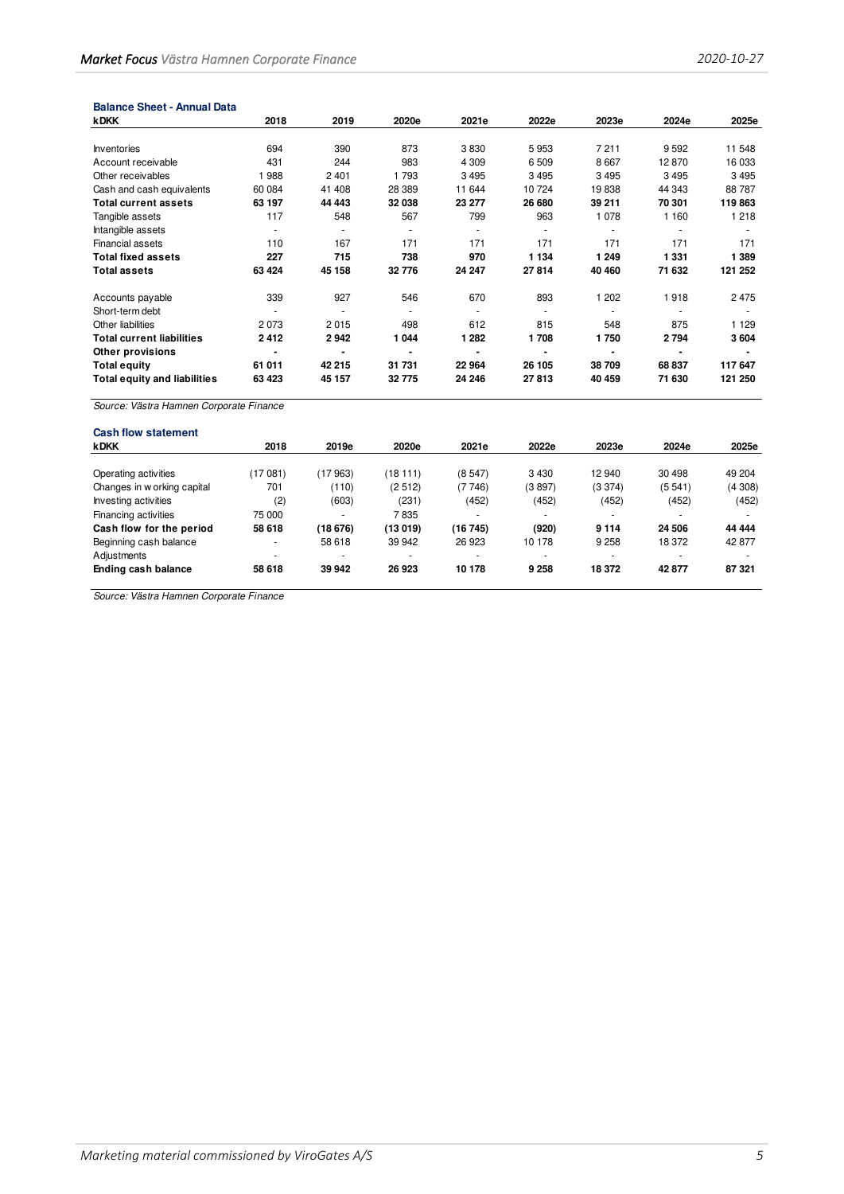| <b>Balance Sheet - Annual Data</b>      |         |                |         |         |         |                |         |         |
|-----------------------------------------|---------|----------------|---------|---------|---------|----------------|---------|---------|
| <b>kDKK</b>                             | 2018    | 2019           | 2020e   | 2021e   | 2022e   | 2023e          | 2024e   | 2025e   |
|                                         |         |                |         |         |         |                |         |         |
| <b>Inventories</b>                      | 694     | 390            | 873     | 3830    | 5953    | 7211           | 9592    | 11 548  |
| Account receivable                      | 431     | 244            | 983     | 4 3 0 9 | 6509    | 8667           | 12870   | 16 033  |
| Other receivables                       | 988     | 2401           | 1 7 9 3 | 3495    | 3495    | 3495           | 3 4 9 5 | 3495    |
| Cash and cash equivalents               | 60 084  | 41 408         | 28 389  | 11 644  | 10724   | 19838          | 44 343  | 88787   |
| <b>Total current assets</b>             | 63 197  | 44 4 43        | 32 038  | 23 277  | 26 680  | 39 211         | 70 301  | 119863  |
| Tangible assets                         | 117     | 548            | 567     | 799     | 963     | 1078           | 1 160   | 1 2 1 8 |
| Intangible assets                       | $\sim$  | ٠              | ٠       | ٠       |         | ٠              |         |         |
| Financial assets                        | 110     | 167            | 171     | 171     | 171     | 171            | 171     | 171     |
| <b>Total fixed assets</b>               | 227     | 715            | 738     | 970     | 1 1 3 4 | 1 2 4 9        | 1 3 3 1 | 1 3 8 9 |
| <b>Total assets</b>                     | 63 4 24 | 45 158         | 32 776  | 24 247  | 27814   | 40 460         | 71 632  | 121 252 |
| Accounts payable                        | 339     | 927            | 546     | 670     | 893     | 1 202          | 1918    | 2475    |
| Short-term debt                         |         | ٠              |         | ٠       |         |                |         |         |
| Other liabilities                       | 2073    | 2015           | 498     | 612     | 815     | 548            | 875     | 1 1 2 9 |
| <b>Total current liabilities</b>        | 2412    | 2942           | 1044    | 1 2 8 2 | 1708    | 1750           | 2794    | 3604    |
| Other provisions                        | ٠       | $\blacksquare$ |         |         |         | $\blacksquare$ |         |         |
| <b>Total equity</b>                     | 61 011  | 42 215         | 31 731  | 22 964  | 26 105  | 38709          | 68 837  | 117 647 |
| <b>Total equity and liabilities</b>     | 63 4 23 | 45 157         | 32775   | 24 246  | 27813   | 40 459         | 71 630  | 121 250 |
| Source: Västra Hamnen Cornorate Finance |         |                |         |         |         |                |         |         |

| <b>Cash flow statement</b>  |                          |          |          |         |                          |         |        |        |
|-----------------------------|--------------------------|----------|----------|---------|--------------------------|---------|--------|--------|
| <b>kDKK</b>                 | 2018                     | 2019e    | 2020e    | 2021e   | 2022e                    | 2023e   | 2024e  | 2025e  |
|                             |                          |          |          |         |                          |         |        |        |
| Operating activities        | 17 081)                  | (17 963) | (18 111) | (8547)  | 3 4 3 0                  | 12 940  | 30 498 | 49 204 |
| Changes in w orking capital | 701                      | (110)    | (2512)   | (7746)  | (3897)                   | (3374)  | (5541) | (4308) |
| Investing activities        | (2)                      | (603)    | (231)    | (452)   | (452)                    | (452)   | (452)  | (452)  |
| Financing activities        | 75 000                   | ۰        | 7835     |         | $\overline{\phantom{a}}$ | ۰       | ۰      |        |
| Cash flow for the period    | 58 618                   | (18 676) | (13 019) | (16745) | (920)                    | 9 1 1 4 | 24 506 | 44 444 |
| Beginning cash balance      | ۰                        | 58 618   | 39 942   | 26 923  | 10 178                   | 9 2 5 8 | 18 372 | 42 877 |
| Adjustments                 | $\overline{\phantom{a}}$ | ۰        |          |         | $\overline{\phantom{a}}$ |         |        |        |
| Ending cash balance         | 58 618                   | 39 942   | 26 923   | 10 178  | 9 2 5 8                  | 18 372  | 42877  | 87 321 |
|                             |                          |          |          |         |                          |         |        |        |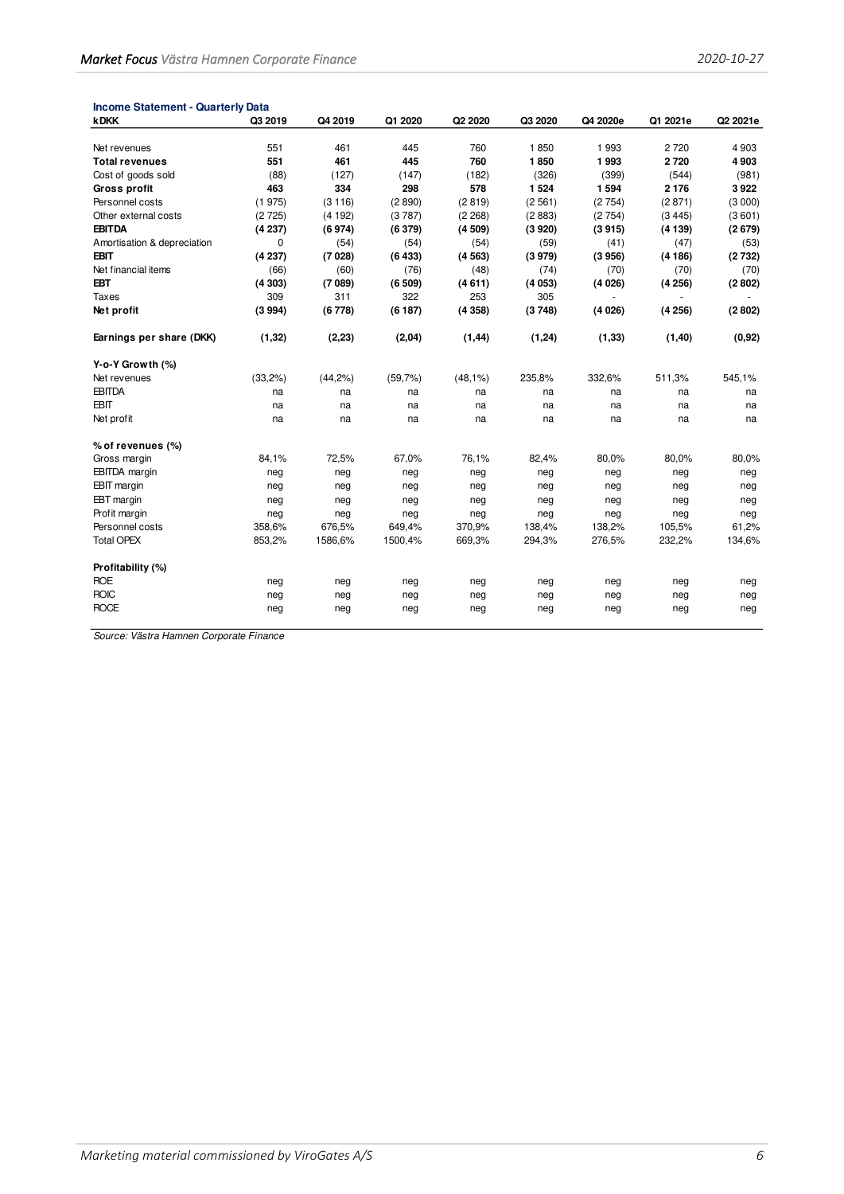| <b>Income Statement - Quarterly Data</b> |         |         |         |            |         |          |          |          |
|------------------------------------------|---------|---------|---------|------------|---------|----------|----------|----------|
| <b>kDKK</b>                              | Q3 2019 | Q4 2019 | Q1 2020 | Q2 2020    | Q3 2020 | Q4 2020e | Q1 2021e | Q2 2021e |
|                                          |         |         |         |            |         |          |          |          |
| Net revenues                             | 551     | 461     | 445     | 760        | 1850    | 1993     | 2720     | 4 9 0 3  |
| <b>Total revenues</b>                    | 551     | 461     | 445     | 760        | 1850    | 1993     | 2720     | 4903     |
| Cost of goods sold                       | (88)    | (127)   | (147)   | (182)      | (326)   | (399)    | (544)    | (981)    |
| Gross profit                             | 463     | 334     | 298     | 578        | 1 5 2 4 | 1594     | 2 1 7 6  | 3922     |
| Personnel costs                          | (1975)  | (3116)  | (2890)  | (2819)     | (2561)  | (2754)   | (2871)   | (3 000)  |
| Other external costs                     | (2725)  | (4192)  | (3787)  | (2 268)    | (2883)  | (2754)   | (3445)   | (3601)   |
| <b>EBITDA</b>                            | (4237)  | (6974)  | (6379)  | (4509)     | (3920)  | (3915)   | (4139)   | (2679)   |
| Amortisation & depreciation              | 0       | (54)    | (54)    | (54)       | (59)    | (41)     | (47)     | (53)     |
| EBIT                                     | (4237)  | (7028)  | (6433)  | (4563)     | (3979)  | (3956)   | (4186)   | (2732)   |
| Net financial items                      | (66)    | (60)    | (76)    | (48)       | (74)    | (70)     | (70)     | (70)     |
| <b>EBT</b>                               | (4303)  | (7089)  | (6509)  | (4611)     | (4053)  | (4026)   | (4256)   | (2802)   |
| <b>Taxes</b>                             | 309     | 311     | 322     | 253        | 305     |          |          |          |
| Net profit                               | (3994)  | (6778)  | (6187)  | (4358)     | (3748)  | (4026)   | (4256)   | (2802)   |
| Earnings per share (DKK)                 | (1, 32) | (2, 23) | (2,04)  | (1, 44)    | (1, 24) | (1, 33)  | (1, 40)  | (0,92)   |
| Y-o-Y Growth (%)                         |         |         |         |            |         |          |          |          |
| Net revenues                             | (33,2%) | (44,2%) | (59,7%) | $(48,1\%)$ | 235,8%  | 332,6%   | 511,3%   | 545,1%   |
| <b>EBITDA</b>                            | na      | na      | na      | na         | na      | na       | na       | na       |
| <b>EBIT</b>                              | na      | na      | na      | na         | na      | na       | na       | na       |
| Net profit                               | na      | na      | na      | na         | na      | na       | na       | na       |
| % of revenues (%)                        |         |         |         |            |         |          |          |          |
| Gross margin                             | 84,1%   | 72,5%   | 67,0%   | 76,1%      | 82,4%   | 80,0%    | 80,0%    | 80,0%    |
| <b>EBITDA</b> margin                     | neg     | neg     | neg     | neg        | neg     | neg      | neg      | neg      |
| <b>EBIT</b> margin                       | neg     | neg     | neg     | neg        | neg     | neg      | neg      | neg      |
| EBT margin                               | neg     | neg     | neg     | neg        | neg     | neg      | neg      | neg      |
| Profit margin                            | neg     | neg     | neg     | neg        | neg     | neg      | neg      | neg      |
| Personnel costs                          | 358,6%  | 676,5%  | 649,4%  | 370,9%     | 138,4%  | 138,2%   | 105,5%   | 61,2%    |
| <b>Total OPEX</b>                        | 853,2%  | 1586,6% | 1500,4% | 669,3%     | 294,3%  | 276,5%   | 232,2%   | 134,6%   |
| Profitability (%)                        |         |         |         |            |         |          |          |          |
| <b>ROE</b>                               | neg     | neg     | neg     | neg        | neg     | neg      | neg      | neg      |
| <b>ROIC</b>                              | neg     | neg     | neg     | neg        | neg     | neg      | neg      | neg      |
| <b>ROCE</b>                              | neg     | neg     | neg     | neg        | neg     | neg      | neg      | neg      |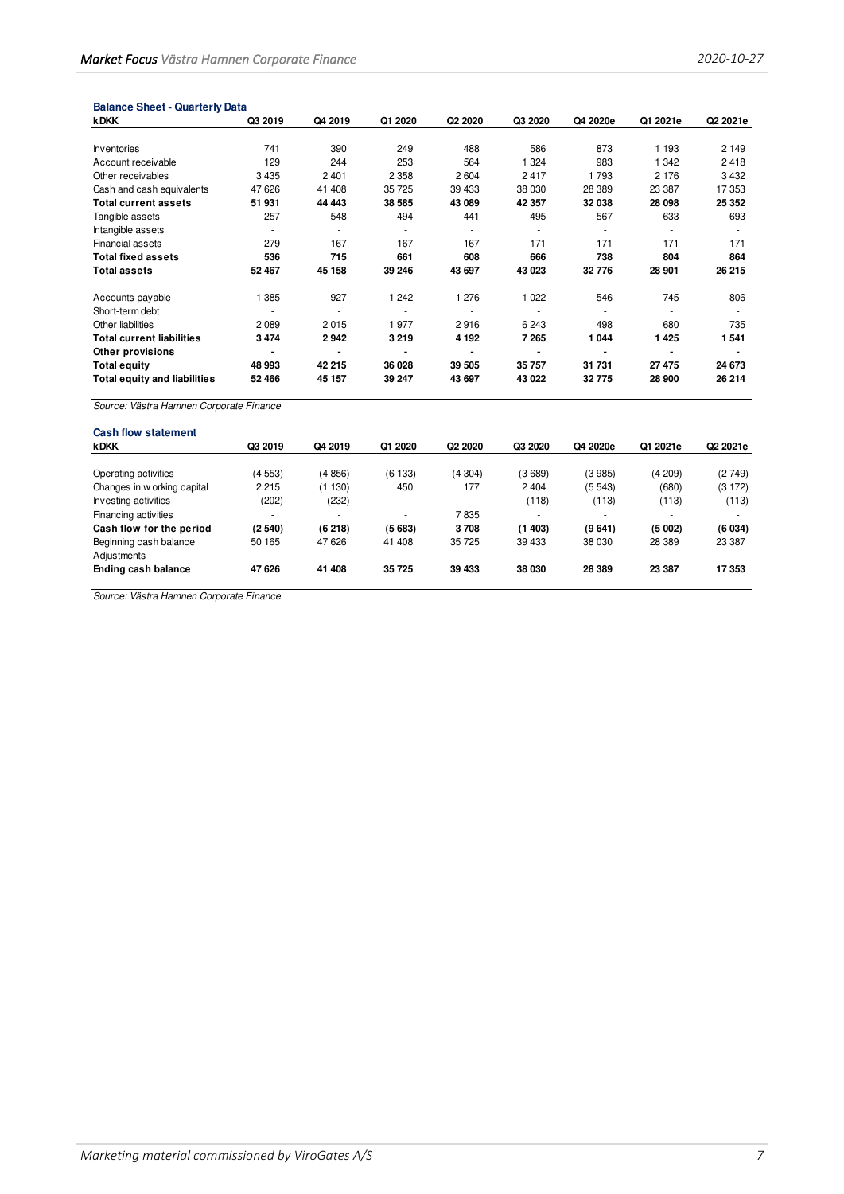| <b>kDKK</b>                             | Q3 2019        | Q4 2019 | Q1 2020 | Q2 2020 | Q3 2020 | Q4 2020e | Q1 2021e | Q2 2021e |
|-----------------------------------------|----------------|---------|---------|---------|---------|----------|----------|----------|
|                                         |                |         |         |         |         |          |          |          |
| Inventories                             | 741            | 390     | 249     | 488     | 586     | 873      | 1 1 9 3  | 2 1 4 9  |
| Account receivable                      | 129            | 244     | 253     | 564     | 1 3 2 4 | 983      | 1 3 4 2  | 2418     |
| Other receivables                       | 3 4 3 5        | 2401    | 2 3 5 8 | 2604    | 2417    | 1793     | 2 1 7 6  | 3432     |
| Cash and cash equivalents               | 47 626         | 41 408  | 35 725  | 39 433  | 38 030  | 28 389   | 23 387   | 17 353   |
| <b>Total current assets</b>             | 51931          | 44 443  | 38 585  | 43 089  | 42 357  | 32 038   | 28 098   | 25 352   |
| Tangible assets                         | 257            | 548     | 494     | 441     | 495     | 567      | 633      | 693      |
| Intangible assets                       |                |         |         |         |         |          |          |          |
| Financial assets                        | 279            | 167     | 167     | 167     | 171     | 171      | 171      | 171      |
| <b>Total fixed assets</b>               | 536            | 715     | 661     | 608     | 666     | 738      | 804      | 864      |
| <b>Total assets</b>                     | 52 467         | 45 158  | 39 246  | 43 697  | 43 023  | 32776    | 28 901   | 26 215   |
| Accounts payable                        | 1 385          | 927     | 1 2 4 2 | 1 276   | 1 0 2 2 | 546      | 745      | 806      |
| Short-term debt                         |                |         |         |         |         |          |          |          |
| Other liabilities                       | 2089           | 2015    | 1977    | 2916    | 6 2 4 3 | 498      | 680      | 735      |
| <b>Total current liabilities</b>        | 3474           | 2942    | 3219    | 4 1 9 2 | 7 2 6 5 | 1044     | 1425     | 1541     |
| Other provisions                        | $\blacksquare$ |         |         |         |         |          |          |          |
| <b>Total equity</b>                     | 48 993         | 42 215  | 36 028  | 39 505  | 35757   | 31 731   | 27 475   | 24 673   |
| <b>Total equity and liabilities</b>     | 52 466         | 45 157  | 39 247  | 43 697  | 43 022  | 32775    | 28 900   | 26 214   |
|                                         |                |         |         |         |         |          |          |          |
| Source: Västra Hamnen Corporate Finance |                |         |         |         |         |          |          |          |
|                                         |                |         |         |         |         |          |          |          |
| <b>Cash flow statement</b>              |                |         |         |         |         |          |          |          |

| <b>kDKK</b>                 | Q3 2019                  | Q4 2019 | Q1 2020    | Q2 2020 | Q3 2020                  | Q4 2020e | Q1 2021e                 | Q2 2021e |
|-----------------------------|--------------------------|---------|------------|---------|--------------------------|----------|--------------------------|----------|
|                             |                          |         |            |         |                          |          |                          |          |
| Operating activities        | (4553)                   | (4856)  | (6133)     | (4304)  | (3689)                   | (3985)   | (4209)                   | (2749)   |
| Changes in w orking capital | 2 2 1 5                  | 130)    | 450        | 177     | 2 4 0 4                  | (5543)   | (680)                    | (3172)   |
| Investing activities        | (202)                    | (232)   | <b>100</b> |         | (118)                    | (113)    | (113)                    | (113)    |
| Financing activities        | $\overline{\phantom{0}}$ |         |            | 7835    | $\overline{\phantom{a}}$ |          | $\overline{\phantom{a}}$ |          |
| Cash flow for the period    | (2540)                   | (6218)  | (5683)     | 3708    | (1403)                   | (9641)   | (5002)                   | (6034)   |
| Beginning cash balance      | 50 165                   | 47 626  | 41 408     | 35 725  | 39 433                   | 38 030   | 28 3 89                  | 23 387   |
| Adjustments                 | $\overline{\phantom{0}}$ |         |            |         | $\overline{\phantom{a}}$ |          |                          |          |
| Ending cash balance         | 47 626                   | 41 408  | 35 725     | 39 433  | 38 030                   | 28 3 89  | 23 387                   | 17 353   |
|                             |                          |         |            |         |                          |          |                          |          |